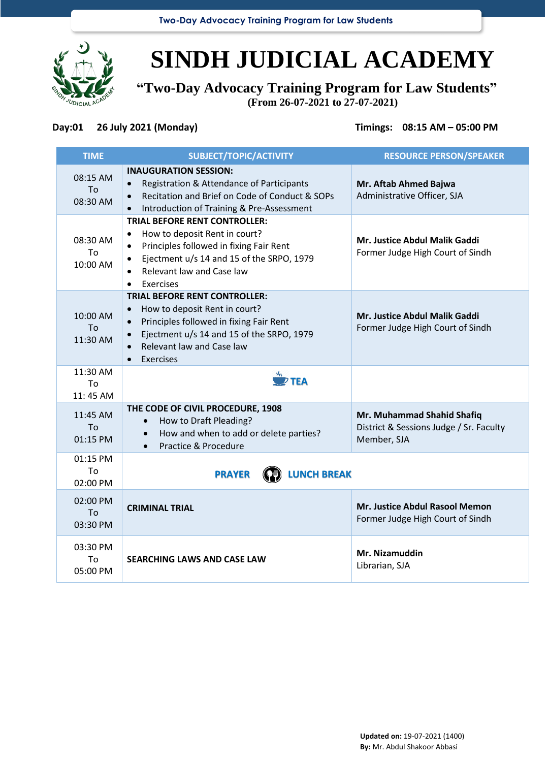**Two-Day Advocacy Training Program for Law Students**



## **SINDH JUDICIAL ACADEMY**

**"Two-Day Advocacy Training Program for Law Students" (From 26-07-2021 to 27-07-2021)**

## **Day:01 26 July 2021 (Monday) Timings: 08:15 AM – 05:00 PM**

| <b>TIME</b>                | SUBJECT/TOPIC/ACTIVITY                                                                                                                                                                                                            | <b>RESOURCE PERSON/SPEAKER</b>                                                       |
|----------------------------|-----------------------------------------------------------------------------------------------------------------------------------------------------------------------------------------------------------------------------------|--------------------------------------------------------------------------------------|
| 08:15 AM<br>To<br>08:30 AM | <b>INAUGURATION SESSION:</b><br>Registration & Attendance of Participants<br>Recitation and Brief on Code of Conduct & SOPs<br>Introduction of Training & Pre-Assessment                                                          | Mr. Aftab Ahmed Bajwa<br>Administrative Officer, SJA                                 |
| 08:30 AM<br>To<br>10:00 AM | <b>TRIAL BEFORE RENT CONTROLLER:</b><br>How to deposit Rent in court?<br>$\bullet$<br>Principles followed in fixing Fair Rent<br>Ejectment u/s 14 and 15 of the SRPO, 1979<br>Relevant law and Case law<br>Exercises              | <b>Mr. Justice Abdul Malik Gaddi</b><br>Former Judge High Court of Sindh             |
| 10:00 AM<br>To<br>11:30 AM | <b>TRIAL BEFORE RENT CONTROLLER:</b><br>How to deposit Rent in court?<br>$\bullet$<br>Principles followed in fixing Fair Rent<br>Ejectment u/s 14 and 15 of the SRPO, 1979<br>Relevant law and Case law<br>Exercises<br>$\bullet$ | <b>Mr. Justice Abdul Malik Gaddi</b><br>Former Judge High Court of Sindh             |
| 11:30 AM<br>To<br>11:45 AM | $\frac{M_{\rm S}}{M}$ TEA                                                                                                                                                                                                         |                                                                                      |
| 11:45 AM<br>To<br>01:15 PM | THE CODE OF CIVIL PROCEDURE, 1908<br>How to Draft Pleading?<br>How and when to add or delete parties?<br>Practice & Procedure                                                                                                     | Mr. Muhammad Shahid Shafiq<br>District & Sessions Judge / Sr. Faculty<br>Member, SJA |
| 01:15 PM<br>To<br>02:00 PM | <b>LUNCH BREAK</b><br><b>PRAYER</b>                                                                                                                                                                                               |                                                                                      |
| 02:00 PM<br>To<br>03:30 PM | <b>CRIMINAL TRIAL</b>                                                                                                                                                                                                             | Mr. Justice Abdul Rasool Memon<br>Former Judge High Court of Sindh                   |
| 03:30 PM<br>To<br>05:00 PM | <b>SEARCHING LAWS AND CASE LAW</b>                                                                                                                                                                                                | Mr. Nizamuddin<br>Librarian, SJA                                                     |